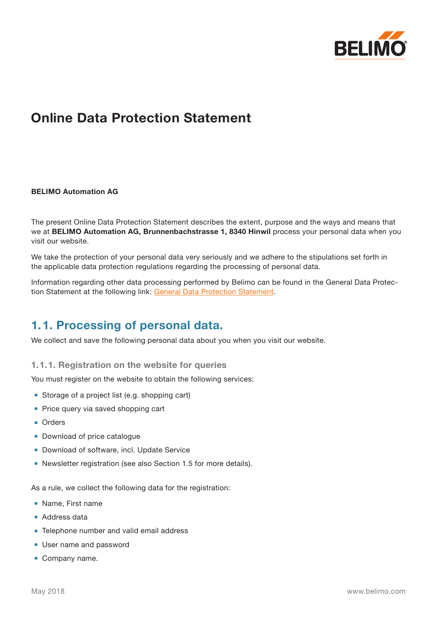

# **Online Data Protection Statement**

#### **BELIMO Automation AG**

The present Online Data Protection Statement describes the extent, purpose and the ways and means that we at **BELIMO Automation AG, Brunnenbachstrasse 1, 8340 Hinwil** process your personal data when you visit our website.

We take the protection of your personal data very seriously and we adhere to the stipulations set forth in the applicable data protection regulations regarding the processing of personal data.

Information regarding other data processing performed by Belimo can be found in the General Data Protection Statement at the following link: [General Data Protection Statement.](https://www.belimo.com/mam/corporate-communications/privacy/BELIMO-general_privacy_policy_COM-EN.pdf)

### **1.1. Processing of personal data.**

We collect and save the following personal data about you when you visit our website.

**1.1.1. Registration on the website for queries**

You must register on the website to obtain the following services:

- Storage of a project list (e.g. shopping cart)
- Price query via saved shopping cart
- **■** Orders
- Download of price catalogue
- Download of software, incl. Update Service
- Newsletter registration (see also Section 1.5 for more details).

As a rule, we collect the following data for the registration:

- **■** Name, First name
- Address data
- Telephone number and valid email address
- User name and password
- **■** Company name.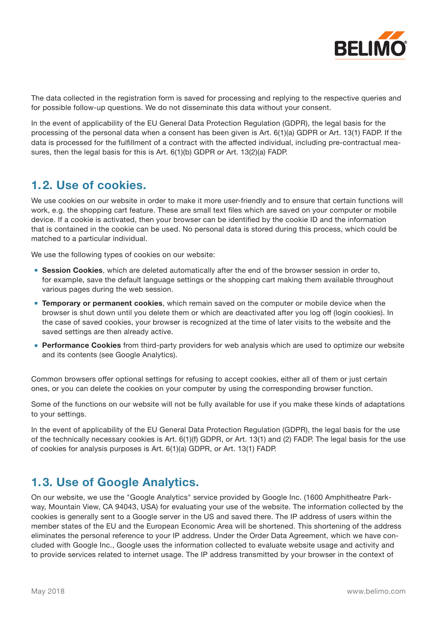

The data collected in the registration form is saved for processing and replying to the respective queries and for possible follow-up questions. We do not disseminate this data without your consent.

In the event of applicability of the EU General Data Protection Regulation (GDPR), the legal basis for the processing of the personal data when a consent has been given is Art. 6(1)(a) GDPR or Art. 13(1) FADP. If the data is processed for the fulfillment of a contract with the affected individual, including pre-contractual measures, then the legal basis for this is Art. 6(1)(b) GDPR or Art. 13(2)(a) FADP.

### **1.2. Use of cookies.**

We use cookies on our website in order to make it more user-friendly and to ensure that certain functions will work, e.g. the shopping cart feature. These are small text files which are saved on your computer or mobile device. If a cookie is activated, then your browser can be identified by the cookie ID and the information that is contained in the cookie can be used. No personal data is stored during this process, which could be matched to a particular individual.

We use the following types of cookies on our website:

- **Session Cookies**, which are deleted automatically after the end of the browser session in order to, for example, save the default language settings or the shopping cart making them available throughout various pages during the web session.
- **Temporary or permanent cookies**, which remain saved on the computer or mobile device when the browser is shut down until you delete them or which are deactivated after you log off (login cookies). In the case of saved cookies, your browser is recognized at the time of later visits to the website and the saved settings are then already active.
- **Performance Cookies** from third-party providers for web analysis which are used to optimize our website and its contents (see Google Analytics).

Common browsers offer optional settings for refusing to accept cookies, either all of them or just certain ones, or you can delete the cookies on your computer by using the corresponding browser function.

Some of the functions on our website will not be fully available for use if you make these kinds of adaptations to your settings.

In the event of applicability of the EU General Data Protection Regulation (GDPR), the legal basis for the use of the technically necessary cookies is Art. 6(1)(f) GDPR, or Art. 13(1) and (2) FADP. The legal basis for the use of cookies for analysis purposes is Art. 6(1)(a) GDPR, or Art. 13(1) FADP.

### **1.3. Use of Google Analytics.**

On our website, we use the "Google Analytics" service provided by Google Inc. (1600 Amphitheatre Parkway, Mountain View, CA 94043, USA) for evaluating your use of the website. The information collected by the cookies is generally sent to a Google server in the US and saved there. The IP address of users within the member states of the EU and the European Economic Area will be shortened. This shortening of the address eliminates the personal reference to your IP address. Under the Order Data Agreement, which we have concluded with Google Inc., Google uses the information collected to evaluate website usage and activity and to provide services related to internet usage. The IP address transmitted by your browser in the context of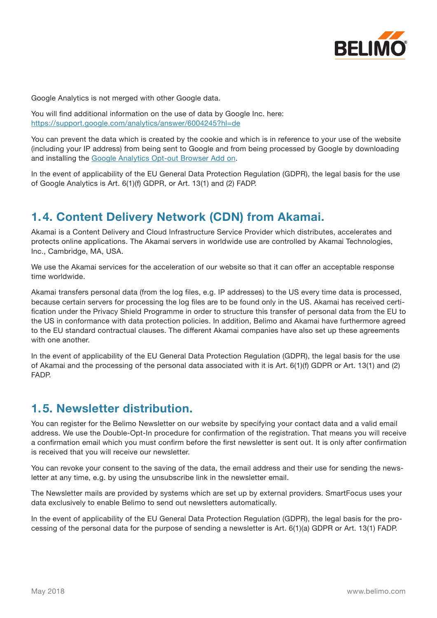

Google Analytics is not merged with other Google data.

You will find additional information on the use of data by Google Inc. here: <https://support.google.com/analytics/answer/6004245?hl=de>

You can prevent the data which is created by the cookie and which is in reference to your use of the website (including your IP address) from being sent to Google and from being processed by Google by downloading and installing the [Google Analytics Opt-out Browser Add on](https://tools.google.com/dlpage/gaoptout?hl=de).

In the event of applicability of the EU General Data Protection Regulation (GDPR), the legal basis for the use of Google Analytics is Art. 6(1)(f) GDPR, or Art. 13(1) and (2) FADP.

## **1.4. Content Delivery Network (CDN) from Akamai.**

Akamai is a Content Delivery and Cloud Infrastructure Service Provider which distributes, accelerates and protects online applications. The Akamai servers in worldwide use are controlled by Akamai Technologies, Inc., Cambridge, MA, USA.

We use the Akamai services for the acceleration of our website so that it can offer an acceptable response time worldwide.

Akamai transfers personal data (from the log files, e.g. IP addresses) to the US every time data is processed, because certain servers for processing the log files are to be found only in the US. Akamai has received certification under the Privacy Shield Programme in order to structure this transfer of personal data from the EU to the US in conformance with data protection policies. In addition, Belimo and Akamai have furthermore agreed to the EU standard contractual clauses. The different Akamai companies have also set up these agreements with one another.

In the event of applicability of the EU General Data Protection Regulation (GDPR), the legal basis for the use of Akamai and the processing of the personal data associated with it is Art. 6(1)(f) GDPR or Art. 13(1) and (2) FADP.

### **1.5. Newsletter distribution.**

You can register for the Belimo Newsletter on our website by specifying your contact data and a valid email address. We use the Double-Opt-In procedure for confirmation of the registration. That means you will receive a confirmation email which you must confirm before the first newsletter is sent out. It is only after confirmation is received that you will receive our newsletter.

You can revoke your consent to the saving of the data, the email address and their use for sending the newsletter at any time, e.g. by using the unsubscribe link in the newsletter email.

The Newsletter mails are provided by systems which are set up by external providers. SmartFocus uses your data exclusively to enable Belimo to send out newsletters automatically.

In the event of applicability of the EU General Data Protection Regulation (GDPR), the legal basis for the processing of the personal data for the purpose of sending a newsletter is Art. 6(1)(a) GDPR or Art. 13(1) FADP.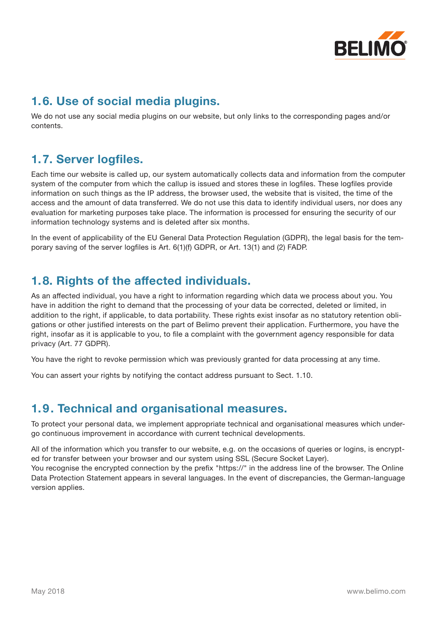

## **1.6. Use of social media plugins.**

We do not use any social media plugins on our website, but only links to the corresponding pages and/or contents.

# **1.7. Server logfiles.**

Each time our website is called up, our system automatically collects data and information from the computer system of the computer from which the callup is issued and stores these in logfiles. These logfiles provide information on such things as the IP address, the browser used, the website that is visited, the time of the access and the amount of data transferred. We do not use this data to identify individual users, nor does any evaluation for marketing purposes take place. The information is processed for ensuring the security of our information technology systems and is deleted after six months.

In the event of applicability of the EU General Data Protection Regulation (GDPR), the legal basis for the temporary saving of the server logfiles is Art. 6(1)(f) GDPR, or Art. 13(1) and (2) FADP.

# **1.8. Rights of the affected individuals.**

As an affected individual, you have a right to information regarding which data we process about you. You have in addition the right to demand that the processing of your data be corrected, deleted or limited, in addition to the right, if applicable, to data portability. These rights exist insofar as no statutory retention obligations or other justified interests on the part of Belimo prevent their application. Furthermore, you have the right, insofar as it is applicable to you, to file a complaint with the government agency responsible for data privacy (Art. 77 GDPR).

You have the right to revoke permission which was previously granted for data processing at any time.

You can assert your rights by notifying the contact address pursuant to Sect. 1.10.

## **1.9. Technical and organisational measures.**

To protect your personal data, we implement appropriate technical and organisational measures which undergo continuous improvement in accordance with current technical developments.

All of the information which you transfer to our website, e.g. on the occasions of queries or logins, is encrypted for transfer between your browser and our system using SSL (Secure Socket Layer).

You recognise the encrypted connection by the prefix "https://" in the address line of the browser. The Online Data Protection Statement appears in several languages. In the event of discrepancies, the German-language version applies.